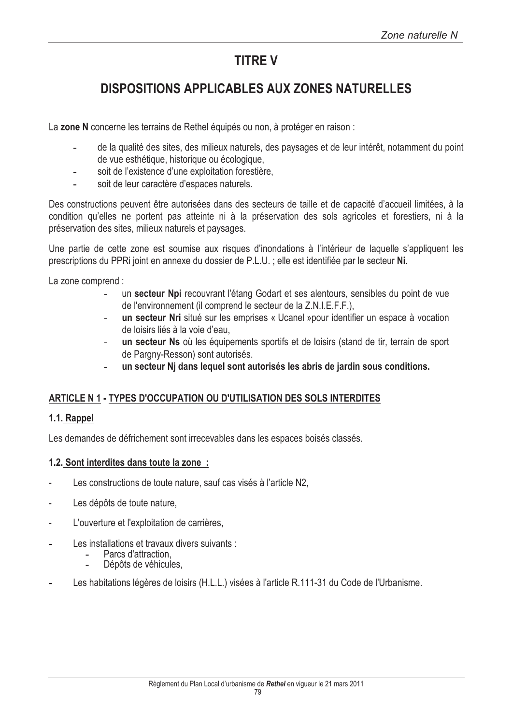# **TITRF V**

# **DISPOSITIONS APPLICABLES AUX ZONES NATURELLES**

La zone N concerne les terrains de Rethel équipés ou non, à protéger en raison :

- de la qualité des sites, des milieux naturels, des paysages et de leur intérêt, notamment du point de vue esthétique, historique ou écologique,
- soit de l'existence d'une exploitation forestière.
- soit de leur caractère d'espaces naturels.

Des constructions peuvent être autorisées dans des secteurs de taille et de capacité d'accueil limitées, à la condition qu'elles ne portent pas atteinte ni à la préservation des sols agricoles et forestiers, ni à la préservation des sites, milieux naturels et paysages.

Une partie de cette zone est soumise aux risques d'inondations à l'intérieur de laquelle s'appliquent les prescriptions du PPRi joint en annexe du dossier de P.L.U.; elle est identifiée par le secteur Ni.

La zone comprend :

- un secteur Npi recouvrant l'étang Godart et ses alentours, sensibles du point de vue de l'environnement (il comprend le secteur de la Z.N.I.E.F.F.),
- un secteur Nri situé sur les emprises « Ucanel »pour identifier un espace à vocation de loisirs liés à la voie d'eau.
- un secteur Ns où les équipements sportifs et de loisirs (stand de tir, terrain de sport de Pargny-Resson) sont autorisés.
- un secteur Nj dans lequel sont autorisés les abris de jardin sous conditions.

#### ARTICLE N 1 - TYPES D'OCCUPATION OU D'UTILISATION DES SOLS INTERDITES

#### 1.1. Rappel

Les demandes de défrichement sont irrecevables dans les espaces boisés classés.

#### 1.2. Sont interdites dans toute la zone:

- Les constructions de toute nature, sauf cas visés à l'article N2,
- Les dépôts de toute nature,
- L'ouverture et l'exploitation de carrières.
- Les installations et travaux divers suivants :
	- Parcs d'attraction.
	- Dépôts de véhicules,
- Les habitations légères de loisirs (H.L.L.) visées à l'article R.111-31 du Code de l'Urbanisme.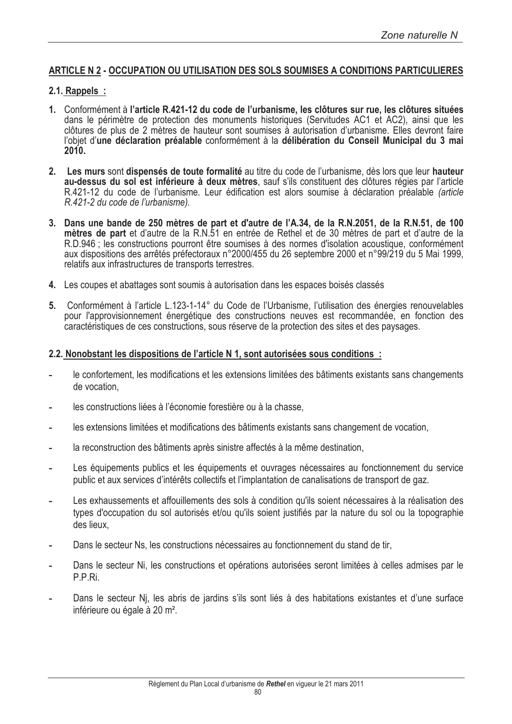# ARTICLE N 2 - OCCUPATION OU UTILISATION DES SOLS SOUMISES A CONDITIONS PARTICULIERES

#### 2.1. Rappels :

- 1. Conformément à l'article R.421-12 du code de l'urbanisme, les clôtures sur rue, les clôtures situées dans le périmètre de protection des monuments historiques (Servitudes AC1 et AC2), ainsi que les clôtures de plus de 2 mètres de hauteur sont soumises à autorisation d'urbanisme. Elles devront faire l'obiet d'une déclaration préalable conformément à la délibération du Conseil Municipal du 3 mai  $2010$
- 2. Les murs sont dispensés de toute formalité au titre du code de l'urbanisme, dès lors que leur hauteur au-dessus du sol est inférieure à deux mètres, sauf s'ils constituent des clôtures régies par l'article R.421-12 du code de l'urbanisme. Leur édification est alors soumise à déclaration préalable (article R.421-2 du code de l'urbanisme).
- 3. Dans une bande de 250 mètres de part et d'autre de l'A.34, de la R.N.2051, de la R.N.51, de 100 mètres de part et d'autre de la R.N.51 en entrée de Rethel et de 30 mètres de part et d'autre de la R.D.946 : les constructions pourront être soumises à des normes d'isolation acoustique, conformément aux dispositions des arrêtés préfectoraux n°2000/455 du 26 septembre 2000 et n°99/219 du 5 Mai 1999. relatifs aux infrastructures de transports terrestres.
- 4. Les coupes et abattages sont soumis à autorisation dans les espaces boisés classés
- 5. Conformément à l'article L.123-1-14° du Code de l'Urbanisme, l'utilisation des énergies renouvelables pour l'approvisionnement énergétique des constructions neuves est recommandée, en fonction des caractéristiques de ces constructions, sous réserve de la protection des sites et des paysages.

#### 2.2. Nonobstant les dispositions de l'article N 1, sont autorisées sous conditions :

- le confortement, les modifications et les extensions limitées des bâtiments existants sans changements de vocation.
- les constructions liées à l'économie forestière ou à la chasse,
- les extensions limitées et modifications des bâtiments existants sans changement de vocation.
- la reconstruction des bâtiments après sinistre affectés à la même destination,
- Les équipements publics et les équipements et ouvrages nécessaires au fonctionnement du service public et aux services d'intérêts collectifs et l'implantation de canalisations de transport de gaz.
- Les exhaussements et affouillements des sols à condition qu'ils soient nécessaires à la réalisation des types d'occupation du sol autorisés et/ou qu'ils soient justifiés par la nature du sol ou la topographie des lieux.
- Dans le secteur Ns, les constructions nécessaires au fonctionnement du stand de tir.
- Dans le secteur Ni, les constructions et opérations autorisées seront limitées à celles admises par le P.P.Ri.
- Dans le secteur Ni, les abris de jardins s'ils sont liés à des habitations existantes et d'une surface inférieure ou égale à 20 m<sup>2</sup>.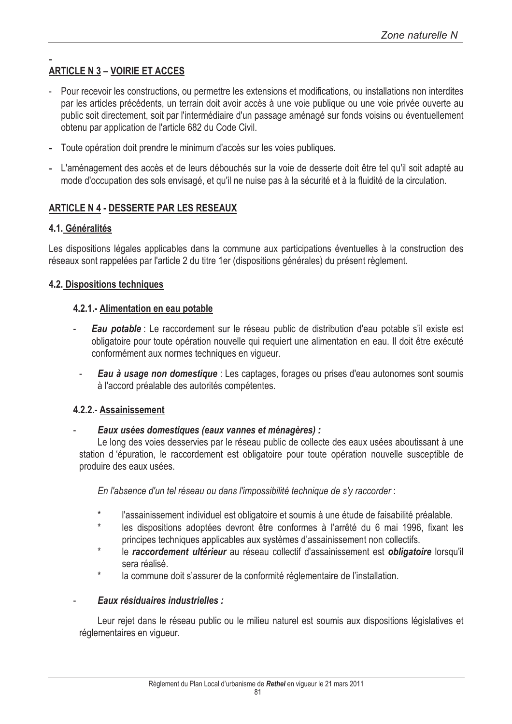# **ARTICLE N 3 - VOIRIE ET ACCES**

- Pour recevoir les constructions, ou permettre les extensions et modifications, ou installations non interdites par les articles précédents, un terrain doit avoir accès à une voie publique ou une voie privée ouverte au public soit directement, soit par l'intermédiaire d'un passage aménagé sur fonds voisins ou éventuellement obtenu par application de l'article 682 du Code Civil.
- Toute opération doit prendre le minimum d'accès sur les voies publiques.
- L'aménagement des accès et de leurs débouchés sur la voie de desserte doit être tel qu'il soit adapté au mode d'occupation des sols envisagé, et qu'il ne nuise pas à la sécurité et à la fluidité de la circulation.

# **ARTICLE N 4 - DESSERTE PAR LES RESEAUX**

# 4.1. Généralités

Les dispositions légales applicables dans la commune aux participations éventuelles à la construction des réseaux sont rappelées par l'article 2 du titre 1er (dispositions générales) du présent règlement.

# **4.2. Dispositions techniques**

# 4.2.1. Alimentation en eau potable

- Eau potable : Le raccordement sur le réseau public de distribution d'eau potable s'il existe est obligatoire pour toute opération nouvelle qui requiert une alimentation en eau. Il doit être exécuté conformément aux normes techniques en viqueur.
- **Eau à usage non domestique** : Les captages, forages ou prises d'eau autonomes sont soumis à l'accord préalable des autorités compétentes.

#### 4.2.2.- Assainissement

#### Eaux usées domestiques (eaux vannes et ménagères) :

Le long des voies desservies par le réseau public de collecte des eaux usées aboutissant à une station d'épuration, le raccordement est obligatoire pour toute opération nouvelle susceptible de produire des eaux usées.

En l'absence d'un tel réseau ou dans l'impossibilité technique de s'y raccorder :

- l'assainissement individuel est obligatoire et soumis à une étude de faisabilité préalable.
- les dispositions adoptées devront être conformes à l'arrêté du 6 mai 1996, fixant les principes techniques applicables aux systèmes d'assainissement non collectifs.
- le raccordement ultérieur au réseau collectif d'assainissement est obligatoire lorsqu'il sera réalisé.
- la commune doit s'assurer de la conformité réglementaire de l'installation.

#### Eaux résiduaires industrielles :

Leur rejet dans le réseau public ou le milieu naturel est soumis aux dispositions législatives et réglementaires en viqueur.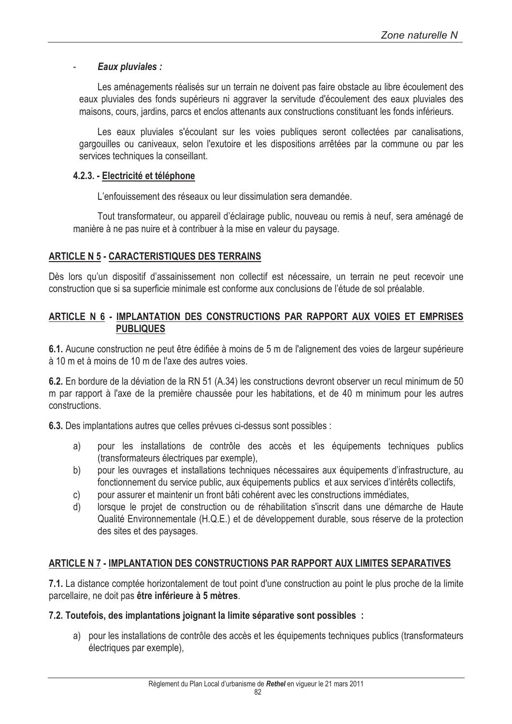#### Eaux pluviales :

Les aménagements réalisés sur un terrain ne doivent pas faire obstacle au libre écoulement des eaux pluviales des fonds supérieurs ni aggraver la servitude d'écoulement des eaux pluviales des maisons, cours, jardins, parcs et enclos attenants aux constructions constituant les fonds inférieurs.

Les eaux pluviales s'écoulant sur les voies publiques seront collectées par canalisations, gargouilles ou caniveaux, selon l'exutoire et les dispositions arrêtées par la commune ou par les services techniques la conseillant.

#### 4.2.3. - Electricité et téléphone

L'enfouissement des réseaux ou leur dissimulation sera demandée.

Tout transformateur, ou appareil d'éclairage public, nouveau ou remis à neuf, sera aménagé de manière à ne pas nuire et à contribuer à la mise en valeur du paysage.

# **ARTICLE N 5 - CARACTERISTIQUES DES TERRAINS**

Dès lors qu'un dispositif d'assainissement non collectif est nécessaire, un terrain ne peut recevoir une construction que si sa superficie minimale est conforme aux conclusions de l'étude de sol préalable.

#### ARTICLE N 6 - IMPLANTATION DES CONSTRUCTIONS PAR RAPPORT AUX VOIES ET EMPRISES **PUBLIQUES**

6.1. Aucune construction ne peut être édifiée à moins de 5 m de l'alignement des voies de largeur supérieure à 10 m et à moins de 10 m de l'axe des autres voies.

6.2. En bordure de la déviation de la RN 51 (A.34) les constructions devront observer un recul minimum de 50 m par rapport à l'axe de la première chaussée pour les habitations, et de 40 m minimum pour les autres constructions.

6.3. Des implantations autres que celles prévues ci-dessus sont possibles :

- a) pour les installations de contrôle des accès et les équipements techniques publics (transformateurs électriques par exemple),
- pour les ouvrages et installations techniques nécessaires aux équipements d'infrastructure, au b) fonctionnement du service public, aux équipements publics et aux services d'intérêts collectifs,
- pour assurer et maintenir un front bâti cohérent avec les constructions immédiates. C)
- lorsque le projet de construction ou de réhabilitation s'inscrit dans une démarche de Haute d) Qualité Environnementale (H.Q.E.) et de développement durable, sous réserve de la protection des sites et des paysages.

# ARTICLE N 7 - IMPLANTATION DES CONSTRUCTIONS PAR RAPPORT AUX LIMITES SEPARATIVES

7.1. La distance comptée horizontalement de tout point d'une construction au point le plus proche de la limite parcellaire, ne doit pas être inférieure à 5 mètres.

#### 7.2. Toutefois, des implantations joignant la limite séparative sont possibles :

a) pour les installations de contrôle des accès et les équipements techniques publics (transformateurs électriques par exemple).